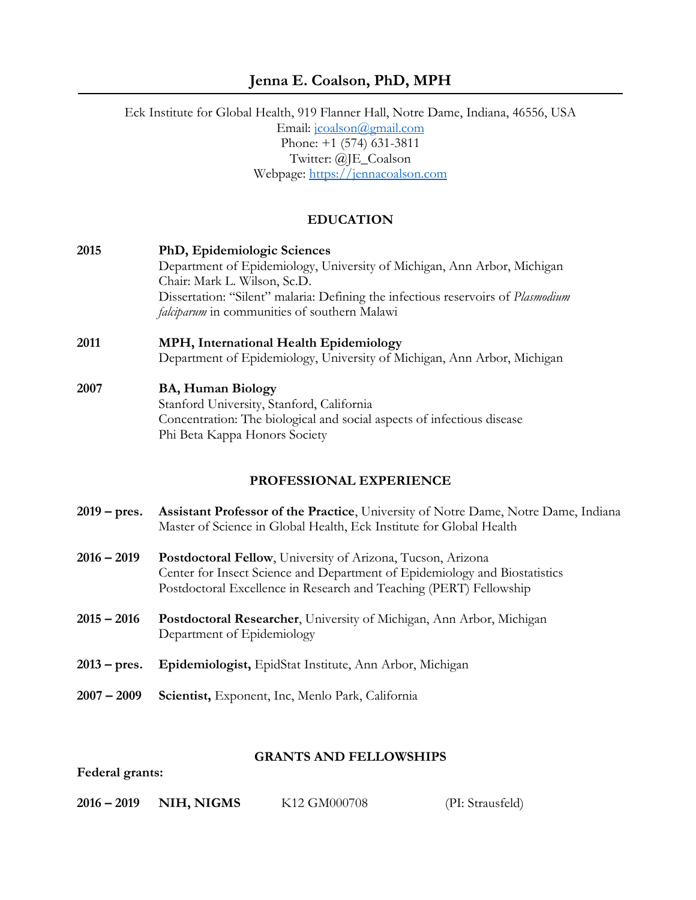# **Jenna E. Coalson, PhD, MPH**

Eck Institute for Global Health, 919 Flanner Hall, Notre Dame, Indiana, 46556, USA Email: [jcoalson@gmail.com](mailto:jcoalson@gmail.com) Phone: +1 (574) 631-3811 Twitter: @JE\_Coalson Webpage: [https://jennacoalson.com](https://jennacoalson.com/)

### **EDUCATION**

**2015 PhD, Epidemiologic Sciences** Department of Epidemiology, University of Michigan, Ann Arbor, Michigan Chair: Mark L. Wilson, Sc.D. Dissertation: "Silent" malaria: Defining the infectious reservoirs of *Plasmodium falciparum* in communities of southern Malawi

# **2011 MPH, International Health Epidemiology** Department of Epidemiology, University of Michigan, Ann Arbor, Michigan

#### **2007 BA, Human Biology**

Stanford University, Stanford, California Concentration: The biological and social aspects of infectious disease Phi Beta Kappa Honors Society

## **PROFESSIONAL EXPERIENCE**

- **2019 – pres. Assistant Professor of the Practice**, University of Notre Dame, Notre Dame, Indiana Master of Science in Global Health, Eck Institute for Global Health
- **2016 – 2019 Postdoctoral Fellow**, University of Arizona, Tucson, Arizona Center for Insect Science and Department of Epidemiology and Biostatistics Postdoctoral Excellence in Research and Teaching (PERT) Fellowship
- **2015 – 2016 Postdoctoral Researcher**, University of Michigan, Ann Arbor, Michigan Department of Epidemiology
- **2013 – pres. Epidemiologist,** EpidStat Institute, Ann Arbor, Michigan
- **2007 – 2009 Scientist,** Exponent, Inc, Menlo Park, California

#### **GRANTS AND FELLOWSHIPS**

**Federal grants:**

**2016 – 2019 NIH, NIGMS** K12 GM000708 (PI: Strausfeld)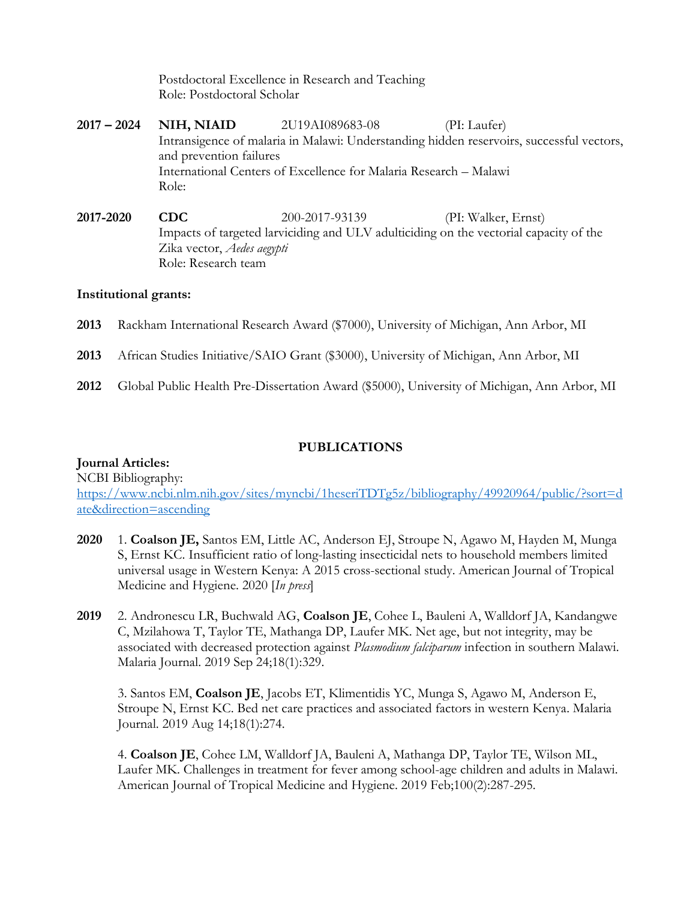Postdoctoral Excellence in Research and Teaching Role: Postdoctoral Scholar

- **2017 – 2024 NIH, NIAID** 2U19AI089683-08 (PI: Laufer) Intransigence of malaria in Malawi: Understanding hidden reservoirs, successful vectors, and prevention failures International Centers of Excellence for Malaria Research – Malawi Role:
- **2017-2020 CDC** 200-2017-93139 (PI: Walker, Ernst) Impacts of targeted larviciding and ULV adulticiding on the vectorial capacity of the Zika vector, *Aedes aegypti* Role: Research team

## **Institutional grants:**

- **2013** Rackham International Research Award (\$7000), University of Michigan, Ann Arbor, MI
- **2013** African Studies Initiative/SAIO Grant (\$3000), University of Michigan, Ann Arbor, MI
- **2012** Global Public Health Pre-Dissertation Award (\$5000), University of Michigan, Ann Arbor, MI

## **PUBLICATIONS**

## **Journal Articles:**

NCBI Bibliography: [https://www.ncbi.nlm.nih.gov/sites/myncbi/1heseriTDTg5z/bibliography/49920964/public/?sort=d](https://www.ncbi.nlm.nih.gov/sites/myncbi/1heseriTDTg5z/bibliography/49920964/public/?sort=date&direction=ascending) [ate&direction=ascending](https://www.ncbi.nlm.nih.gov/sites/myncbi/1heseriTDTg5z/bibliography/49920964/public/?sort=date&direction=ascending)

- **2020** 1. **Coalson JE,** Santos EM, Little AC, Anderson EJ, Stroupe N, Agawo M, Hayden M, Munga S, Ernst KC. Insufficient ratio of long-lasting insecticidal nets to household members limited universal usage in Western Kenya: A 2015 cross-sectional study. American Journal of Tropical Medicine and Hygiene. 2020 [*In press*]
- **2019** 2. Andronescu LR, Buchwald AG, **Coalson JE**, Cohee L, Bauleni A, Walldorf JA, Kandangwe C, Mzilahowa T, Taylor TE, Mathanga DP, Laufer MK. Net age, but not integrity, may be associated with decreased protection against *Plasmodium falciparum* infection in southern Malawi. Malaria Journal. 2019 Sep 24;18(1):329.

3. Santos EM, **Coalson JE**, Jacobs ET, Klimentidis YC, Munga S, Agawo M, Anderson E, Stroupe N, Ernst KC. Bed net care practices and associated factors in western Kenya. Malaria Journal. 2019 Aug 14;18(1):274.

4. **Coalson JE**, Cohee LM, Walldorf JA, Bauleni A, Mathanga DP, Taylor TE, Wilson ML, Laufer MK. Challenges in treatment for fever among school-age children and adults in Malawi. American Journal of Tropical Medicine and Hygiene. 2019 Feb;100(2):287-295.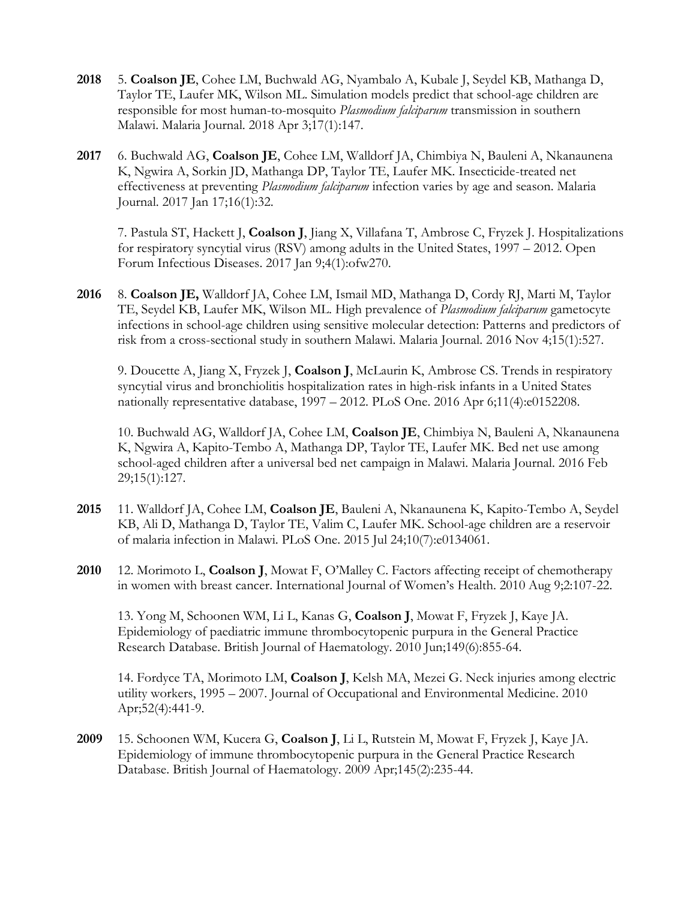- **2018** 5. **Coalson JE**, Cohee LM, Buchwald AG, Nyambalo A, Kubale J, Seydel KB, Mathanga D, Taylor TE, Laufer MK, Wilson ML. Simulation models predict that school-age children are responsible for most human-to-mosquito *Plasmodium falciparum* transmission in southern Malawi. Malaria Journal. 2018 Apr 3;17(1):147.
- **2017** 6. Buchwald AG, **Coalson JE**, Cohee LM, Walldorf JA, Chimbiya N, Bauleni A, Nkanaunena K, Ngwira A, Sorkin JD, Mathanga DP, Taylor TE, Laufer MK. Insecticide-treated net effectiveness at preventing *Plasmodium falciparum* infection varies by age and season. Malaria Journal. 2017 Jan 17;16(1):32.

7. Pastula ST, Hackett J, **Coalson J**, Jiang X, Villafana T, Ambrose C, Fryzek J. Hospitalizations for respiratory syncytial virus (RSV) among adults in the United States, 1997 – 2012. Open Forum Infectious Diseases. 2017 Jan 9;4(1):ofw270.

**2016** 8. **Coalson JE,** Walldorf JA, Cohee LM, Ismail MD, Mathanga D, Cordy RJ, Marti M, Taylor TE, Seydel KB, Laufer MK, Wilson ML. High prevalence of *Plasmodium falciparum* gametocyte infections in school-age children using sensitive molecular detection: Patterns and predictors of risk from a cross-sectional study in southern Malawi. Malaria Journal. 2016 Nov 4;15(1):527.

9. Doucette A, Jiang X, Fryzek J, **Coalson J**, McLaurin K, Ambrose CS. Trends in respiratory syncytial virus and bronchiolitis hospitalization rates in high-risk infants in a United States nationally representative database, 1997 – 2012. PLoS One. 2016 Apr 6;11(4):e0152208.

10. Buchwald AG, Walldorf JA, Cohee LM, **Coalson JE**, Chimbiya N, Bauleni A, Nkanaunena K, Ngwira A, Kapito-Tembo A, Mathanga DP, Taylor TE, Laufer MK. Bed net use among school-aged children after a universal bed net campaign in Malawi. Malaria Journal. 2016 Feb 29;15(1):127.

- **2015** 11. Walldorf JA, Cohee LM, **Coalson JE**, Bauleni A, Nkanaunena K, Kapito-Tembo A, Seydel KB, Ali D, Mathanga D, Taylor TE, Valim C, Laufer MK. School-age children are a reservoir of malaria infection in Malawi. PLoS One. 2015 Jul 24;10(7):e0134061.
- **2010** 12. Morimoto L, **Coalson J**, Mowat F, O'Malley C. Factors affecting receipt of chemotherapy in women with breast cancer. International Journal of Women's Health. 2010 Aug 9;2:107-22.

13. Yong M, Schoonen WM, Li L, Kanas G, **Coalson J**, Mowat F, Fryzek J, Kaye JA. Epidemiology of paediatric immune thrombocytopenic purpura in the General Practice Research Database. British Journal of Haematology. 2010 Jun;149(6):855-64.

14. Fordyce TA, Morimoto LM, **Coalson J**, Kelsh MA, Mezei G. Neck injuries among electric utility workers, 1995 – 2007. Journal of Occupational and Environmental Medicine. 2010 Apr;52(4):441-9.

**2009** 15. Schoonen WM, Kucera G, **Coalson J**, Li L, Rutstein M, Mowat F, Fryzek J, Kaye JA. Epidemiology of immune thrombocytopenic purpura in the General Practice Research Database. British Journal of Haematology. 2009 Apr;145(2):235-44.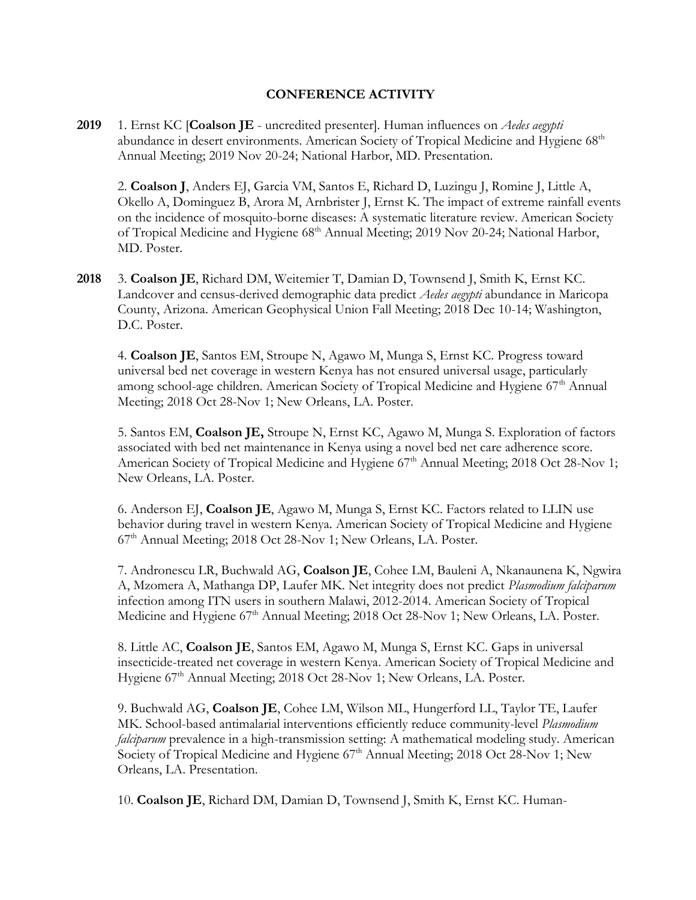## **CONFERENCE ACTIVITY**

**2019** 1. Ernst KC [**Coalson JE** - uncredited presenter]. Human influences on *Aedes aegypti* abundance in desert environments. American Society of Tropical Medicine and Hygiene 68<sup>th</sup> Annual Meeting; 2019 Nov 20-24; National Harbor, MD. Presentation.

2. **Coalson J**, Anders EJ, Garcia VM, Santos E, Richard D, Luzingu J, Romine J, Little A, Okello A, Dominguez B, Arora M, Arnbrister J, Ernst K. The impact of extreme rainfall events on the incidence of mosquito-borne diseases: A systematic literature review. American Society of Tropical Medicine and Hygiene 68<sup>th</sup> Annual Meeting; 2019 Nov 20-24; National Harbor, MD. Poster.

**2018** 3. **Coalson JE**, Richard DM, Weitemier T, Damian D, Townsend J, Smith K, Ernst KC. Landcover and census-derived demographic data predict *Aedes aegypti* abundance in Maricopa County, Arizona. American Geophysical Union Fall Meeting; 2018 Dec 10-14; Washington, D.C. Poster.

4. **Coalson JE**, Santos EM, Stroupe N, Agawo M, Munga S, Ernst KC. Progress toward universal bed net coverage in western Kenya has not ensured universal usage, particularly among school-age children. American Society of Tropical Medicine and Hygiene 67<sup>th</sup> Annual Meeting; 2018 Oct 28-Nov 1; New Orleans, LA. Poster.

5. Santos EM, **Coalson JE,** Stroupe N, Ernst KC, Agawo M, Munga S. Exploration of factors associated with bed net maintenance in Kenya using a novel bed net care adherence score. American Society of Tropical Medicine and Hygiene 67<sup>th</sup> Annual Meeting; 2018 Oct 28-Nov 1; New Orleans, LA. Poster.

6. Anderson EJ, **Coalson JE**, Agawo M, Munga S, Ernst KC. Factors related to LLIN use behavior during travel in western Kenya. American Society of Tropical Medicine and Hygiene 67th Annual Meeting; 2018 Oct 28-Nov 1; New Orleans, LA. Poster.

7. Andronescu LR, Buchwald AG, **Coalson JE**, Cohee LM, Bauleni A, Nkanaunena K, Ngwira A, Mzomera A, Mathanga DP, Laufer MK. Net integrity does not predict *Plasmodium falciparum* infection among ITN users in southern Malawi, 2012-2014. American Society of Tropical Medicine and Hygiene 67<sup>th</sup> Annual Meeting; 2018 Oct 28-Nov 1; New Orleans, LA. Poster.

8. Little AC, **Coalson JE**, Santos EM, Agawo M, Munga S, Ernst KC. Gaps in universal insecticide-treated net coverage in western Kenya. American Society of Tropical Medicine and Hygiene 67<sup>th</sup> Annual Meeting; 2018 Oct 28-Nov 1; New Orleans, LA. Poster.

9. Buchwald AG, **Coalson JE**, Cohee LM, Wilson ML, Hungerford LL, Taylor TE, Laufer MK. School-based antimalarial interventions efficiently reduce community-level *Plasmodium falciparum* prevalence in a high-transmission setting: A mathematical modeling study. American Society of Tropical Medicine and Hygiene 67<sup>th</sup> Annual Meeting; 2018 Oct 28-Nov 1; New Orleans, LA. Presentation.

10. **Coalson JE**, Richard DM, Damian D, Townsend J, Smith K, Ernst KC. Human-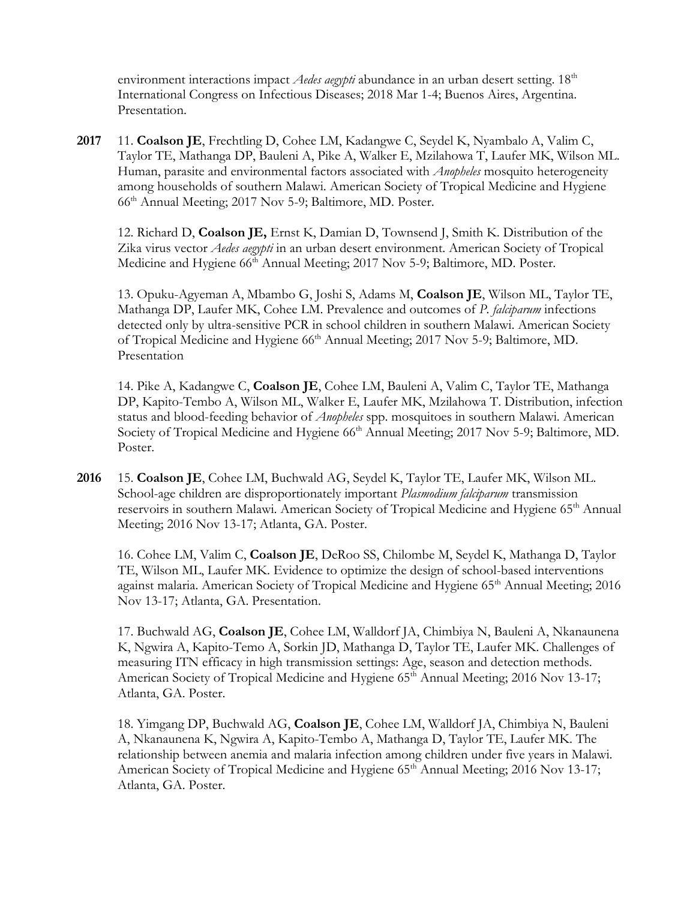environment interactions impact *Aedes aegypti* abundance in an urban desert setting. 18<sup>th</sup> International Congress on Infectious Diseases; 2018 Mar 1-4; Buenos Aires, Argentina. Presentation.

**2017** 11. **Coalson JE**, Frechtling D, Cohee LM, Kadangwe C, Seydel K, Nyambalo A, Valim C, Taylor TE, Mathanga DP, Bauleni A, Pike A, Walker E, Mzilahowa T, Laufer MK, Wilson ML. Human, parasite and environmental factors associated with *Anopheles* mosquito heterogeneity among households of southern Malawi. American Society of Tropical Medicine and Hygiene 66th Annual Meeting; 2017 Nov 5-9; Baltimore, MD. Poster.

12. Richard D, **Coalson JE,** Ernst K, Damian D, Townsend J, Smith K. Distribution of the Zika virus vector *Aedes aegypti* in an urban desert environment. American Society of Tropical Medicine and Hygiene 66<sup>th</sup> Annual Meeting; 2017 Nov 5-9; Baltimore, MD. Poster.

13. Opuku-Agyeman A, Mbambo G, Joshi S, Adams M, **Coalson JE**, Wilson ML, Taylor TE, Mathanga DP, Laufer MK, Cohee LM. Prevalence and outcomes of *P. falciparum* infections detected only by ultra-sensitive PCR in school children in southern Malawi. American Society of Tropical Medicine and Hygiene 66<sup>th</sup> Annual Meeting; 2017 Nov 5-9; Baltimore, MD. Presentation

14. Pike A, Kadangwe C, **Coalson JE**, Cohee LM, Bauleni A, Valim C, Taylor TE, Mathanga DP, Kapito-Tembo A, Wilson ML, Walker E, Laufer MK, Mzilahowa T. Distribution, infection status and blood-feeding behavior of *Anopheles* spp. mosquitoes in southern Malawi. American Society of Tropical Medicine and Hygiene 66<sup>th</sup> Annual Meeting; 2017 Nov 5-9; Baltimore, MD. Poster.

**2016** 15. **Coalson JE**, Cohee LM, Buchwald AG, Seydel K, Taylor TE, Laufer MK, Wilson ML. School-age children are disproportionately important *Plasmodium falciparum* transmission reservoirs in southern Malawi. American Society of Tropical Medicine and Hygiene 65<sup>th</sup> Annual Meeting; 2016 Nov 13-17; Atlanta, GA. Poster.

16. Cohee LM, Valim C, **Coalson JE**, DeRoo SS, Chilombe M, Seydel K, Mathanga D, Taylor TE, Wilson ML, Laufer MK. Evidence to optimize the design of school-based interventions against malaria. American Society of Tropical Medicine and Hygiene 65<sup>th</sup> Annual Meeting; 2016 Nov 13-17; Atlanta, GA. Presentation.

17. Buchwald AG, **Coalson JE**, Cohee LM, Walldorf JA, Chimbiya N, Bauleni A, Nkanaunena K, Ngwira A, Kapito-Temo A, Sorkin JD, Mathanga D, Taylor TE, Laufer MK. Challenges of measuring ITN efficacy in high transmission settings: Age, season and detection methods. American Society of Tropical Medicine and Hygiene 65<sup>th</sup> Annual Meeting; 2016 Nov 13-17; Atlanta, GA. Poster.

18. Yimgang DP, Buchwald AG, **Coalson JE**, Cohee LM, Walldorf JA, Chimbiya N, Bauleni A, Nkanaunena K, Ngwira A, Kapito-Tembo A, Mathanga D, Taylor TE, Laufer MK. The relationship between anemia and malaria infection among children under five years in Malawi. American Society of Tropical Medicine and Hygiene 65<sup>th</sup> Annual Meeting; 2016 Nov 13-17; Atlanta, GA. Poster.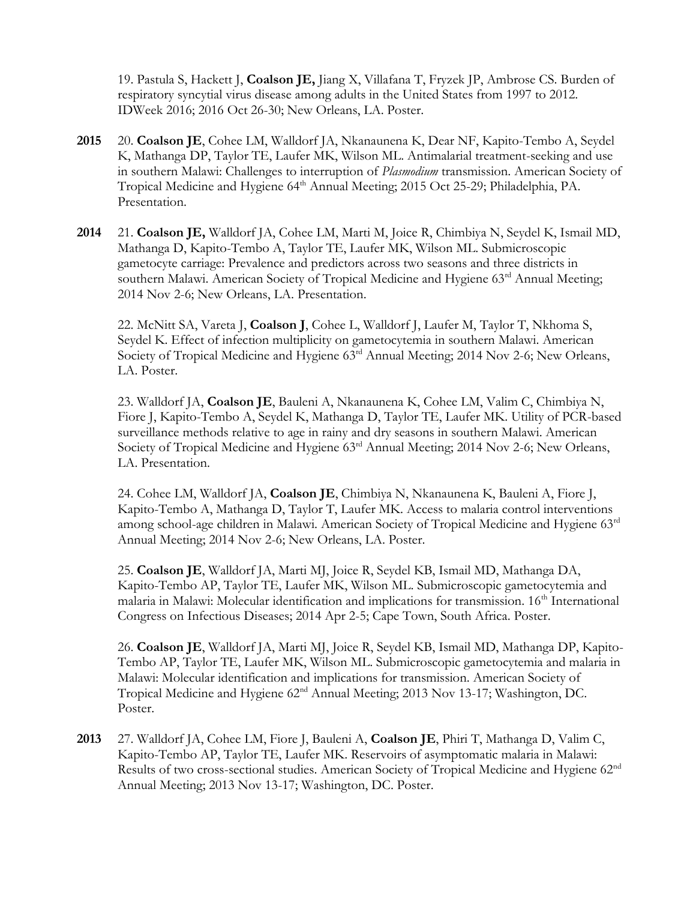19. Pastula S, Hackett J, **Coalson JE,** Jiang X, Villafana T, Fryzek JP, Ambrose CS. Burden of respiratory syncytial virus disease among adults in the United States from 1997 to 2012. IDWeek 2016; 2016 Oct 26-30; New Orleans, LA. Poster.

- **2015** 20. **Coalson JE**, Cohee LM, Walldorf JA, Nkanaunena K, Dear NF, Kapito-Tembo A, Seydel K, Mathanga DP, Taylor TE, Laufer MK, Wilson ML. Antimalarial treatment-seeking and use in southern Malawi: Challenges to interruption of *Plasmodium* transmission. American Society of Tropical Medicine and Hygiene 64<sup>th</sup> Annual Meeting; 2015 Oct 25-29; Philadelphia, PA. Presentation.
- **2014** 21. **Coalson JE,** Walldorf JA, Cohee LM, Marti M, Joice R, Chimbiya N, Seydel K, Ismail MD, Mathanga D, Kapito-Tembo A, Taylor TE, Laufer MK, Wilson ML. Submicroscopic gametocyte carriage: Prevalence and predictors across two seasons and three districts in southern Malawi. American Society of Tropical Medicine and Hygiene 63rd Annual Meeting; 2014 Nov 2-6; New Orleans, LA. Presentation.

22. McNitt SA, Vareta J, **Coalson J**, Cohee L, Walldorf J, Laufer M, Taylor T, Nkhoma S, Seydel K. Effect of infection multiplicity on gametocytemia in southern Malawi. American Society of Tropical Medicine and Hygiene 63<sup>rd</sup> Annual Meeting; 2014 Nov 2-6; New Orleans, LA. Poster.

23. Walldorf JA, **Coalson JE**, Bauleni A, Nkanaunena K, Cohee LM, Valim C, Chimbiya N, Fiore J, Kapito-Tembo A, Seydel K, Mathanga D, Taylor TE, Laufer MK. Utility of PCR-based surveillance methods relative to age in rainy and dry seasons in southern Malawi. American Society of Tropical Medicine and Hygiene  $63<sup>rd</sup>$  Annual Meeting; 2014 Nov 2-6; New Orleans, LA. Presentation.

24. Cohee LM, Walldorf JA, **Coalson JE**, Chimbiya N, Nkanaunena K, Bauleni A, Fiore J, Kapito-Tembo A, Mathanga D, Taylor T, Laufer MK. Access to malaria control interventions among school-age children in Malawi. American Society of Tropical Medicine and Hygiene 63rd Annual Meeting; 2014 Nov 2-6; New Orleans, LA. Poster.

25. **Coalson JE**, Walldorf JA, Marti MJ, Joice R, Seydel KB, Ismail MD, Mathanga DA, Kapito-Tembo AP, Taylor TE, Laufer MK, Wilson ML. Submicroscopic gametocytemia and malaria in Malawi: Molecular identification and implications for transmission. 16<sup>th</sup> International Congress on Infectious Diseases; 2014 Apr 2-5; Cape Town, South Africa. Poster.

26. **Coalson JE**, Walldorf JA, Marti MJ, Joice R, Seydel KB, Ismail MD, Mathanga DP, Kapito-Tembo AP, Taylor TE, Laufer MK, Wilson ML. Submicroscopic gametocytemia and malaria in Malawi: Molecular identification and implications for transmission. American Society of Tropical Medicine and Hygiene 62nd Annual Meeting; 2013 Nov 13-17; Washington, DC. Poster.

**2013** 27. Walldorf JA, Cohee LM, Fiore J, Bauleni A, **Coalson JE**, Phiri T, Mathanga D, Valim C, Kapito-Tembo AP, Taylor TE, Laufer MK. Reservoirs of asymptomatic malaria in Malawi: Results of two cross-sectional studies. American Society of Tropical Medicine and Hygiene 62nd Annual Meeting; 2013 Nov 13-17; Washington, DC. Poster.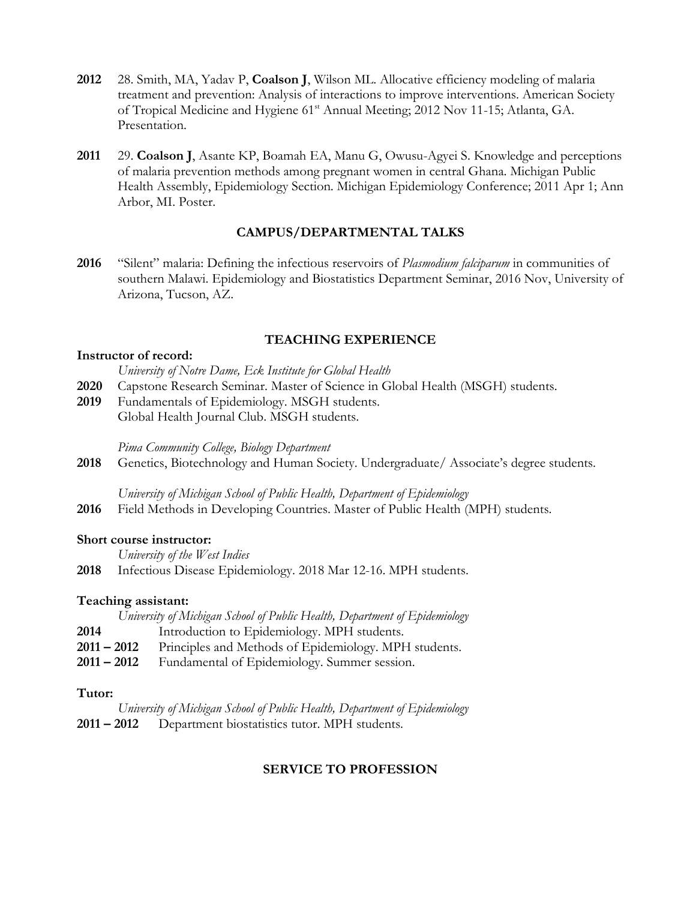- **2012** 28. Smith, MA, Yadav P, **Coalson J**, Wilson ML. Allocative efficiency modeling of malaria treatment and prevention: Analysis of interactions to improve interventions. American Society of Tropical Medicine and Hygiene 61st Annual Meeting; 2012 Nov 11-15; Atlanta, GA. Presentation.
- **2011** 29. **Coalson J**, Asante KP, Boamah EA, Manu G, Owusu-Agyei S. Knowledge and perceptions of malaria prevention methods among pregnant women in central Ghana. Michigan Public Health Assembly, Epidemiology Section. Michigan Epidemiology Conference; 2011 Apr 1; Ann Arbor, MI. Poster.

## **CAMPUS/DEPARTMENTAL TALKS**

**2016** "Silent" malaria: Defining the infectious reservoirs of *Plasmodium falciparum* in communities of southern Malawi. Epidemiology and Biostatistics Department Seminar, 2016 Nov, University of Arizona, Tucson, AZ.

## **TEACHING EXPERIENCE**

#### **Instructor of record:**

- *University of Notre Dame, Eck Institute for Global Health*
- **2020** Capstone Research Seminar. Master of Science in Global Health (MSGH) students.
- **2019** Fundamentals of Epidemiology. MSGH students. Global Health Journal Club. MSGH students.

*Pima Community College, Biology Department*

2018 Genetics, Biotechnology and Human Society. Undergraduate/ Associate's degree students.

*University of Michigan School of Public Health, Department of Epidemiology*

**2016** Field Methods in Developing Countries. Master of Public Health (MPH) students.

#### **Short course instructor:**

*University of the West Indies*

**2018** Infectious Disease Epidemiology. 2018 Mar 12-16. MPH students.

#### **Teaching assistant:**

|               | University of Michigan School of Public Health, Department of Epidemiology |
|---------------|----------------------------------------------------------------------------|
| 2014          | Introduction to Epidemiology. MPH students.                                |
| $2011 - 2012$ | Principles and Methods of Epidemiology. MPH students.                      |
| $2011 - 2012$ | Fundamental of Epidemiology. Summer session.                               |

## **Tutor:**

| University of Michigan School of Public Health, Department of Epidemiology |
|----------------------------------------------------------------------------|
| 2011 – 2012 Department biostatistics tutor. MPH students.                  |

# **SERVICE TO PROFESSION**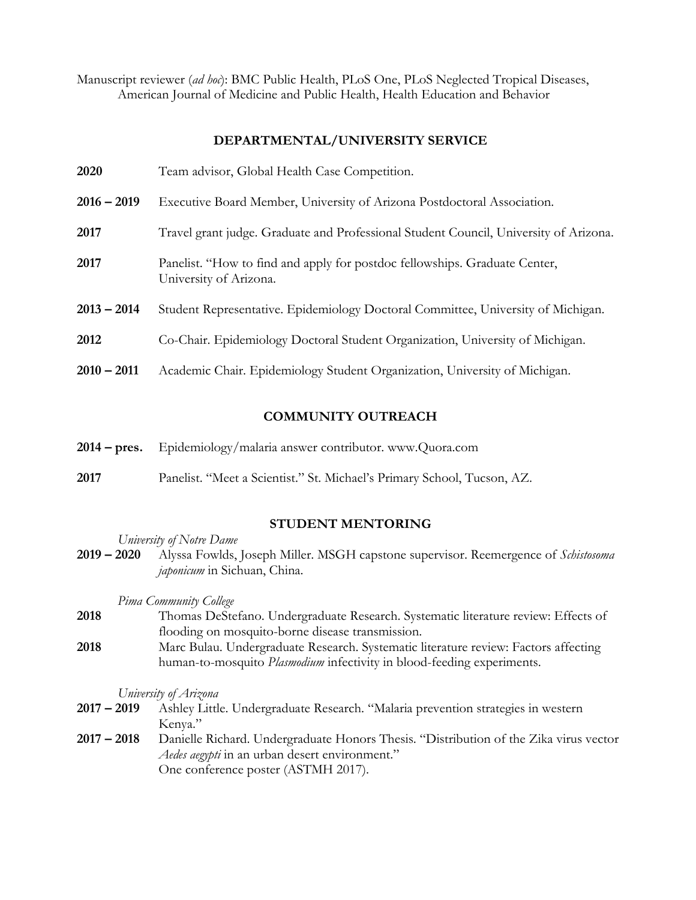Manuscript reviewer (*ad hoc*): BMC Public Health, PLoS One, PLoS Neglected Tropical Diseases, American Journal of Medicine and Public Health, Health Education and Behavior

## **DEPARTMENTAL/UNIVERSITY SERVICE**

| 2020          | Team advisor, Global Health Case Competition.                                                        |
|---------------|------------------------------------------------------------------------------------------------------|
| $2016 - 2019$ | Executive Board Member, University of Arizona Postdoctoral Association.                              |
| 2017          | Travel grant judge. Graduate and Professional Student Council, University of Arizona.                |
| 2017          | Panelist. "How to find and apply for postdoc fellowships. Graduate Center,<br>University of Arizona. |
| $2013 - 2014$ | Student Representative. Epidemiology Doctoral Committee, University of Michigan.                     |
| 2012          | Co-Chair. Epidemiology Doctoral Student Organization, University of Michigan.                        |
| $2010 - 2011$ | Academic Chair. Epidemiology Student Organization, University of Michigan.                           |
|               |                                                                                                      |

## **COMMUNITY OUTREACH**

- **2014 – pres.** Epidemiology/malaria answer contributor. www.Quora.com
- **2017** Panelist. "Meet a Scientist." St. Michael's Primary School, Tucson, AZ.

## **STUDENT MENTORING**

*University of Notre Dame*

**2019 – 2020** Alyssa Fowlds, Joseph Miller. MSGH capstone supervisor. Reemergence of *Schistosoma japonicum* in Sichuan, China.

*Pima Community College*

- **2018** Thomas DeStefano. Undergraduate Research. Systematic literature review: Effects of flooding on mosquito-borne disease transmission.
- **2018** Marc Bulau. Undergraduate Research. Systematic literature review: Factors affecting human-to-mosquito *Plasmodium* infectivity in blood-feeding experiments.

*University of Arizona*

- **2017 – 2019** Ashley Little. Undergraduate Research. "Malaria prevention strategies in western Kenya."
- **2017 – 2018** Danielle Richard. Undergraduate Honors Thesis. "Distribution of the Zika virus vector *Aedes aegypti* in an urban desert environment." One conference poster (ASTMH 2017).